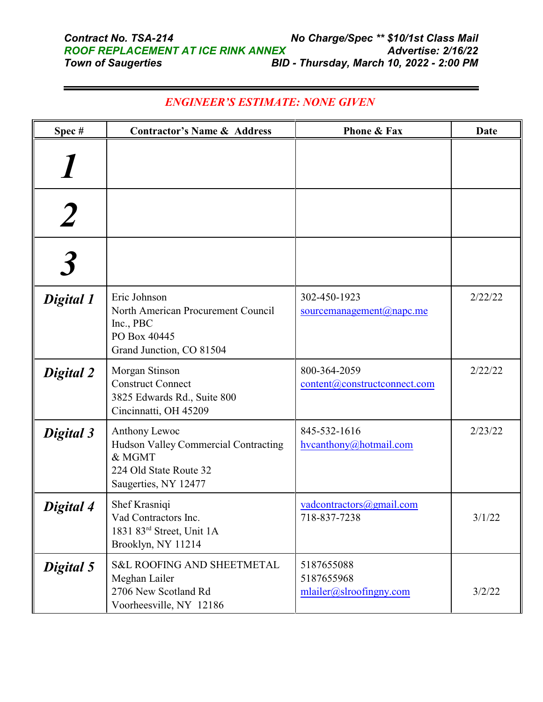| Spec#     | <b>Contractor's Name &amp; Address</b>                                                                            | <b>Phone &amp; Fax</b>                                 | Date    |
|-----------|-------------------------------------------------------------------------------------------------------------------|--------------------------------------------------------|---------|
|           |                                                                                                                   |                                                        |         |
|           |                                                                                                                   |                                                        |         |
|           |                                                                                                                   |                                                        |         |
| Digital 1 | Eric Johnson<br>North American Procurement Council<br>Inc., PBC<br>PO Box 40445<br>Grand Junction, CO 81504       | 302-450-1923<br>sourcemanagement@napc.me               | 2/22/22 |
| Digital 2 | Morgan Stinson<br><b>Construct Connect</b><br>3825 Edwards Rd., Suite 800<br>Cincinnatti, OH 45209                | 800-364-2059<br>content@constructconnect.com           | 2/22/22 |
| Digital 3 | Anthony Lewoc<br>Hudson Valley Commercial Contracting<br>& MGMT<br>224 Old State Route 32<br>Saugerties, NY 12477 | 845-532-1616<br>hycanthony@hotmail.com                 | 2/23/22 |
| Digital 4 | Shef Krasniqi<br>Vad Contractors Inc.<br>1831 83 <sup>rd</sup> Street, Unit 1A<br>Brooklyn, NY 11214              | vadcontractors@gmail.com<br>718-837-7238               | 3/1/22  |
| Digital 5 | <b>S&amp;L ROOFING AND SHEETMETAL</b><br>Meghan Lailer<br>2706 New Scotland Rd<br>Voorheesville, NY 12186         | 5187655088<br>5187655968<br>$mlailer@s}Iroofingny.com$ | 3/2/22  |

## *ENGINEER'S ESTIMATE: NONE GIVEN*

-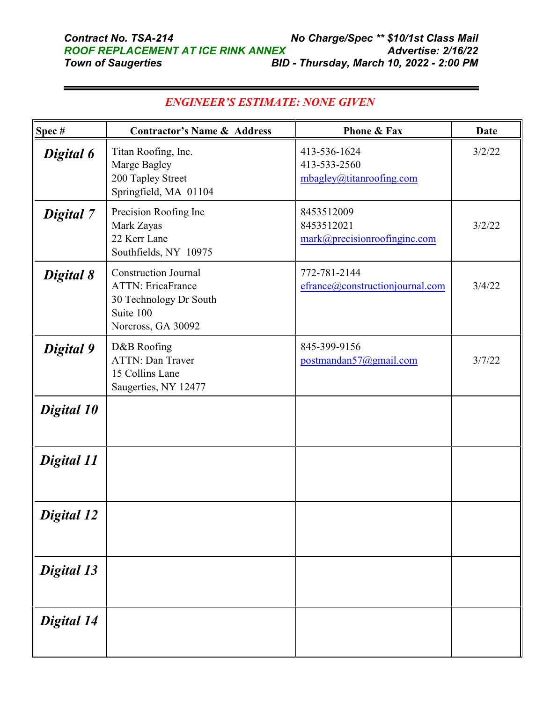| Spec#             | <b>Contractor's Name &amp; Address</b>                                                                               | Phone & Fax                                              | <b>Date</b> |
|-------------------|----------------------------------------------------------------------------------------------------------------------|----------------------------------------------------------|-------------|
| Digital 6         | Titan Roofing, Inc.<br>Marge Bagley<br>200 Tapley Street<br>Springfield, MA 01104                                    | 413-536-1624<br>413-533-2560<br>mbagley@titanroofing.com | 3/2/22      |
| Digital 7         | Precision Roofing Inc<br>Mark Zayas<br>22 Kerr Lane<br>Southfields, NY 10975                                         | 8453512009<br>8453512021<br>mark@precisionroofinginc.com | 3/2/22      |
| Digital 8         | <b>Construction Journal</b><br><b>ATTN: EricaFrance</b><br>30 Technology Dr South<br>Suite 100<br>Norcross, GA 30092 | 772-781-2144<br>efrance@constructionjournal.com          | 3/4/22      |
| Digital 9         | D&B Roofing<br><b>ATTN: Dan Traver</b><br>15 Collins Lane<br>Saugerties, NY 12477                                    | 845-399-9156<br>postmandan57@gmail.com                   | 3/7/22      |
| Digital 10        |                                                                                                                      |                                                          |             |
| Digital 11        |                                                                                                                      |                                                          |             |
| <b>Digital 12</b> |                                                                                                                      |                                                          |             |
| Digital 13        |                                                                                                                      |                                                          |             |
| Digital 14        |                                                                                                                      |                                                          |             |

## *ENGINEER'S ESTIMATE: NONE GIVEN*